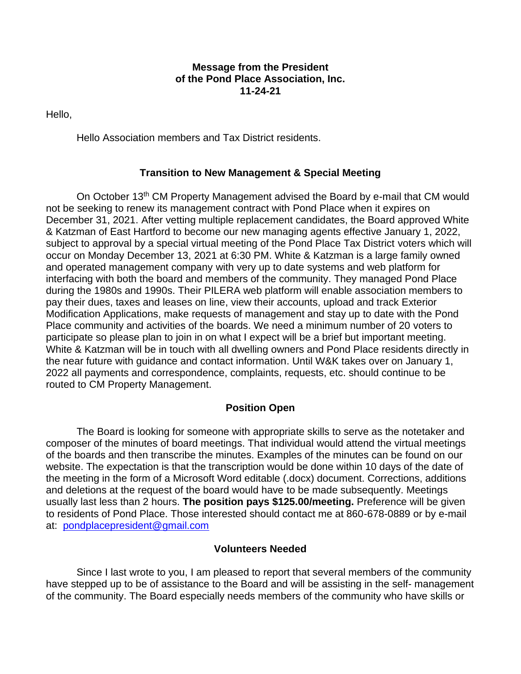### **Message from the President of the Pond Place Association, Inc. 11-24-21**

Hello,

Hello Association members and Tax District residents.

## **Transition to New Management & Special Meeting**

On October 13<sup>th</sup> CM Property Management advised the Board by e-mail that CM would not be seeking to renew its management contract with Pond Place when it expires on December 31, 2021. After vetting multiple replacement candidates, the Board approved White & Katzman of East Hartford to become our new managing agents effective January 1, 2022, subject to approval by a special virtual meeting of the Pond Place Tax District voters which will occur on Monday December 13, 2021 at 6:30 PM. White & Katzman is a large family owned and operated management company with very up to date systems and web platform for interfacing with both the board and members of the community. They managed Pond Place during the 1980s and 1990s. Their PILERA web platform will enable association members to pay their dues, taxes and leases on line, view their accounts, upload and track Exterior Modification Applications, make requests of management and stay up to date with the Pond Place community and activities of the boards. We need a minimum number of 20 voters to participate so please plan to join in on what I expect will be a brief but important meeting. White & Katzman will be in touch with all dwelling owners and Pond Place residents directly in the near future with guidance and contact information. Until W&K takes over on January 1, 2022 all payments and correspondence, complaints, requests, etc. should continue to be routed to CM Property Management.

# **Position Open**

The Board is looking for someone with appropriate skills to serve as the notetaker and composer of the minutes of board meetings. That individual would attend the virtual meetings of the boards and then transcribe the minutes. Examples of the minutes can be found on our website. The expectation is that the transcription would be done within 10 days of the date of the meeting in the form of a Microsoft Word editable (.docx) document. Corrections, additions and deletions at the request of the board would have to be made subsequently. Meetings usually last less than 2 hours. **The position pays \$125.00/meeting.** Preference will be given to residents of Pond Place. Those interested should contact me at 860-678-0889 or by e-mail at: [pondplacepresident@gmail.com](mailto:pondplacepresident@gmail.com)

## **Volunteers Needed**

Since I last wrote to you, I am pleased to report that several members of the community have stepped up to be of assistance to the Board and will be assisting in the self- management of the community. The Board especially needs members of the community who have skills or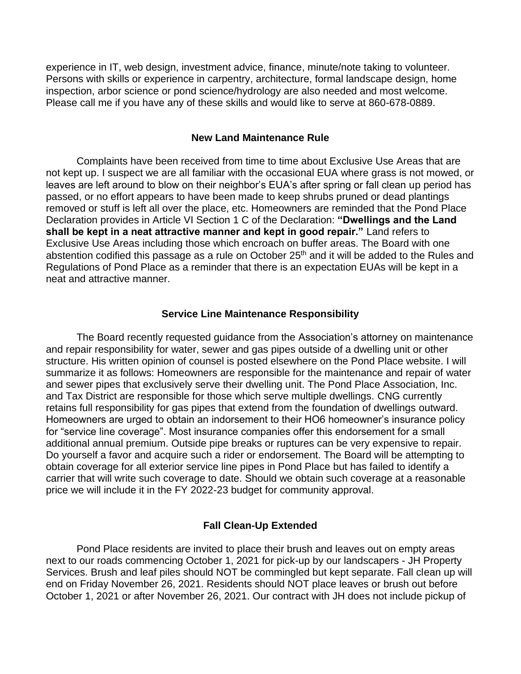experience in IT, web design, investment advice, finance, minute/note taking to volunteer. Persons with skills or experience in carpentry, architecture, formal landscape design, home inspection, arbor science or pond science/hydrology are also needed and most welcome. Please call me if you have any of these skills and would like to serve at 860-678-0889.

#### **New Land Maintenance Rule**

Complaints have been received from time to time about Exclusive Use Areas that are not kept up. I suspect we are all familiar with the occasional EUA where grass is not mowed, or leaves are left around to blow on their neighbor's EUA's after spring or fall clean up period has passed, or no effort appears to have been made to keep shrubs pruned or dead plantings removed or stuff is left all over the place, etc. Homeowners are reminded that the Pond Place Declaration provides in Article VI Section 1 C of the Declaration: **"Dwellings and the Land shall be kept in a neat attractive manner and kept in good repair."** Land refers to Exclusive Use Areas including those which encroach on buffer areas. The Board with one abstention codified this passage as a rule on October 25<sup>th</sup> and it will be added to the Rules and Regulations of Pond Place as a reminder that there is an expectation EUAs will be kept in a neat and attractive manner.

#### **Service Line Maintenance Responsibility**

The Board recently requested guidance from the Association's attorney on maintenance and repair responsibility for water, sewer and gas pipes outside of a dwelling unit or other structure. His written opinion of counsel is posted elsewhere on the Pond Place website. I will summarize it as follows: Homeowners are responsible for the maintenance and repair of water and sewer pipes that exclusively serve their dwelling unit. The Pond Place Association, Inc. and Tax District are responsible for those which serve multiple dwellings. CNG currently retains full responsibility for gas pipes that extend from the foundation of dwellings outward. Homeowners are urged to obtain an indorsement to their HO6 homeowner's insurance policy for "service line coverage". Most insurance companies offer this endorsement for a small additional annual premium. Outside pipe breaks or ruptures can be very expensive to repair. Do yourself a favor and acquire such a rider or endorsement. The Board will be attempting to obtain coverage for all exterior service line pipes in Pond Place but has failed to identify a carrier that will write such coverage to date. Should we obtain such coverage at a reasonable price we will include it in the FY 2022-23 budget for community approval.

#### **Fall Clean-Up Extended**

Pond Place residents are invited to place their brush and leaves out on empty areas next to our roads commencing October 1, 2021 for pick-up by our landscapers - JH Property Services. Brush and leaf piles should NOT be commingled but kept separate. Fall clean up will end on Friday November 26, 2021. Residents should NOT place leaves or brush out before October 1, 2021 or after November 26, 2021. Our contract with JH does not include pickup of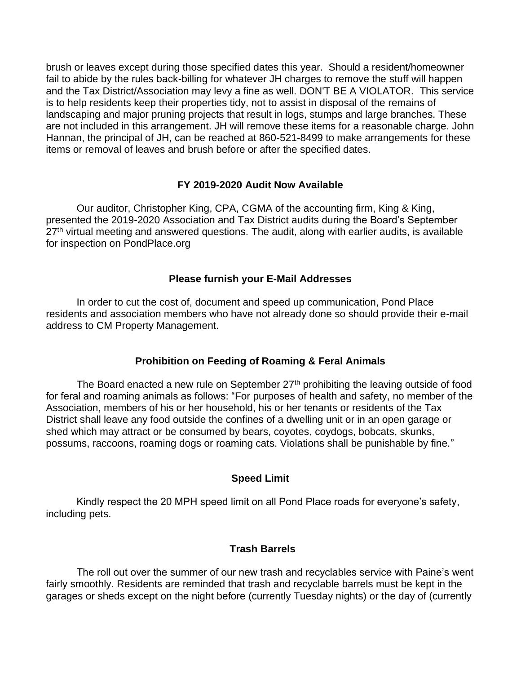brush or leaves except during those specified dates this year. Should a resident/homeowner fail to abide by the rules back-billing for whatever JH charges to remove the stuff will happen and the Tax District/Association may levy a fine as well. DON'T BE A VIOLATOR. This service is to help residents keep their properties tidy, not to assist in disposal of the remains of landscaping and major pruning projects that result in logs, stumps and large branches. These are not included in this arrangement. JH will remove these items for a reasonable charge. John Hannan, the principal of JH, can be reached at 860-521-8499 to make arrangements for these items or removal of leaves and brush before or after the specified dates.

## **FY 2019-2020 Audit Now Available**

Our auditor, Christopher King, CPA, CGMA of the accounting firm, King & King, presented the 2019-2020 Association and Tax District audits during the Board's September 27<sup>th</sup> virtual meeting and answered questions. The audit, along with earlier audits, is available for inspection on PondPlace.org

## **Please furnish your E-Mail Addresses**

In order to cut the cost of, document and speed up communication, Pond Place residents and association members who have not already done so should provide their e-mail address to CM Property Management.

# **Prohibition on Feeding of Roaming & Feral Animals**

The Board enacted a new rule on September  $27<sup>th</sup>$  prohibiting the leaving outside of food for feral and roaming animals as follows: "For purposes of health and safety, no member of the Association, members of his or her household, his or her tenants or residents of the Tax District shall leave any food outside the confines of a dwelling unit or in an open garage or shed which may attract or be consumed by bears, coyotes, coydogs, bobcats, skunks, possums, raccoons, roaming dogs or roaming cats. Violations shall be punishable by fine."

## **Speed Limit**

Kindly respect the 20 MPH speed limit on all Pond Place roads for everyone's safety, including pets.

# **Trash Barrels**

The roll out over the summer of our new trash and recyclables service with Paine's went fairly smoothly. Residents are reminded that trash and recyclable barrels must be kept in the garages or sheds except on the night before (currently Tuesday nights) or the day of (currently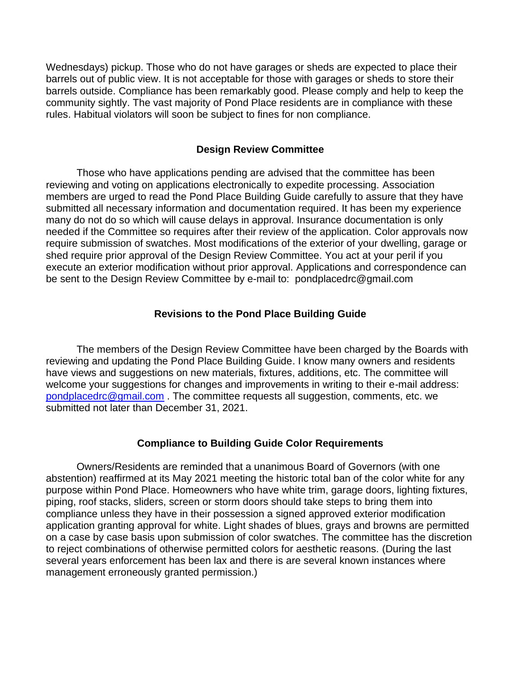Wednesdays) pickup. Those who do not have garages or sheds are expected to place their barrels out of public view. It is not acceptable for those with garages or sheds to store their barrels outside. Compliance has been remarkably good. Please comply and help to keep the community sightly. The vast majority of Pond Place residents are in compliance with these rules. Habitual violators will soon be subject to fines for non compliance.

## **Design Review Committee**

Those who have applications pending are advised that the committee has been reviewing and voting on applications electronically to expedite processing. Association members are urged to read the Pond Place Building Guide carefully to assure that they have submitted all necessary information and documentation required. It has been my experience many do not do so which will cause delays in approval. Insurance documentation is only needed if the Committee so requires after their review of the application. Color approvals now require submission of swatches. Most modifications of the exterior of your dwelling, garage or shed require prior approval of the Design Review Committee. You act at your peril if you execute an exterior modification without prior approval. Applications and correspondence can be sent to the Design Review Committee by e-mail to: pondplacedrc@gmail.com

## **Revisions to the Pond Place Building Guide**

The members of the Design Review Committee have been charged by the Boards with reviewing and updating the Pond Place Building Guide. I know many owners and residents have views and suggestions on new materials, fixtures, additions, etc. The committee will welcome your suggestions for changes and improvements in writing to their e-mail address: [pondplacedrc@gmail.com](mailto:pondplacedrc@gmail.com) . The committee requests all suggestion, comments, etc. we submitted not later than December 31, 2021.

## **Compliance to Building Guide Color Requirements**

Owners/Residents are reminded that a unanimous Board of Governors (with one abstention) reaffirmed at its May 2021 meeting the historic total ban of the color white for any purpose within Pond Place. Homeowners who have white trim, garage doors, lighting fixtures, piping, roof stacks, sliders, screen or storm doors should take steps to bring them into compliance unless they have in their possession a signed approved exterior modification application granting approval for white. Light shades of blues, grays and browns are permitted on a case by case basis upon submission of color swatches. The committee has the discretion to reject combinations of otherwise permitted colors for aesthetic reasons. (During the last several years enforcement has been lax and there is are several known instances where management erroneously granted permission.)